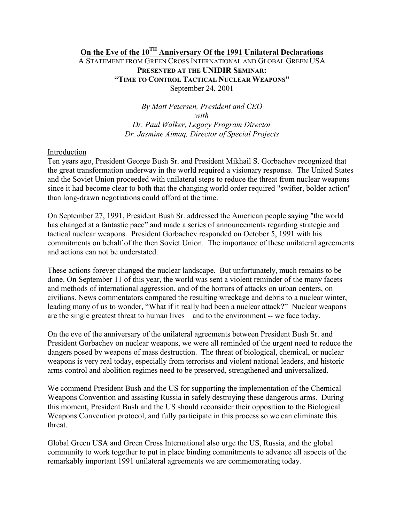# **On the Eve of the 10TH Anniversary Of the 1991 Unilateral Declarations**

A STATEMENT FROM GREEN CROSS INTERNATIONAL AND GLOBAL GREEN USA **PRESENTED AT THE UNIDIR SEMINAR: "TIME TO CONTROL TACTICAL NUCLEAR WEAPONS"**  September 24, 2001

> *By Matt Petersen, President and CEO with Dr. Paul Walker, Legacy Program Director Dr. Jasmine Aimaq, Director of Special Projects*

#### Introduction

Ten years ago, President George Bush Sr. and President Mikhail S. Gorbachev recognized that the great transformation underway in the world required a visionary response. The United States and the Soviet Union proceeded with unilateral steps to reduce the threat from nuclear weapons since it had become clear to both that the changing world order required "swifter, bolder action" than long-drawn negotiations could afford at the time.

On September 27, 1991, President Bush Sr. addressed the American people saying "the world has changed at a fantastic pace" and made a series of announcements regarding strategic and tactical nuclear weapons. President Gorbachev responded on October 5, 1991 with his commitments on behalf of the then Soviet Union. The importance of these unilateral agreements and actions can not be understated.

These actions forever changed the nuclear landscape. But unfortunately, much remains to be done. On September 11 of this year, the world was sent a violent reminder of the many facets and methods of international aggression, and of the horrors of attacks on urban centers, on civilians. News commentators compared the resulting wreckage and debris to a nuclear winter, leading many of us to wonder, "What if it really had been a nuclear attack?" Nuclear weapons are the single greatest threat to human lives – and to the environment -- we face today.

On the eve of the anniversary of the unilateral agreements between President Bush Sr. and President Gorbachev on nuclear weapons, we were all reminded of the urgent need to reduce the dangers posed by weapons of mass destruction. The threat of biological, chemical, or nuclear weapons is very real today, especially from terrorists and violent national leaders, and historic arms control and abolition regimes need to be preserved, strengthened and universalized.

We commend President Bush and the US for supporting the implementation of the Chemical Weapons Convention and assisting Russia in safely destroying these dangerous arms. During this moment, President Bush and the US should reconsider their opposition to the Biological Weapons Convention protocol, and fully participate in this process so we can eliminate this threat.

Global Green USA and Green Cross International also urge the US, Russia, and the global community to work together to put in place binding commitments to advance all aspects of the remarkably important 1991 unilateral agreements we are commemorating today.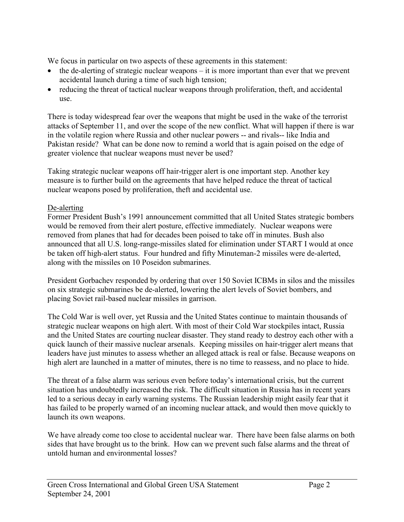We focus in particular on two aspects of these agreements in this statement:

- $\bullet$  the de-alerting of strategic nuclear weapons it is more important than ever that we prevent accidental launch during a time of such high tension;
- reducing the threat of tactical nuclear weapons through proliferation, theft, and accidental use.

There is today widespread fear over the weapons that might be used in the wake of the terrorist attacks of September 11, and over the scope of the new conflict. What will happen if there is war in the volatile region where Russia and other nuclear powers -- and rivals-- like India and Pakistan reside? What can be done now to remind a world that is again poised on the edge of greater violence that nuclear weapons must never be used?

Taking strategic nuclear weapons off hair-trigger alert is one important step. Another key measure is to further build on the agreements that have helped reduce the threat of tactical nuclear weapons posed by proliferation, theft and accidental use.

## De-alerting

Former President Bush's 1991 announcement committed that all United States strategic bombers would be removed from their alert posture, effective immediately. Nuclear weapons were removed from planes that had for decades been poised to take off in minutes. Bush also announced that all U.S. long-range-missiles slated for elimination under START I would at once be taken off high-alert status. Four hundred and fifty Minuteman-2 missiles were de-alerted, along with the missiles on 10 Poseidon submarines.

President Gorbachev responded by ordering that over 150 Soviet ICBMs in silos and the missiles on six strategic submarines be de-alerted, lowering the alert levels of Soviet bombers, and placing Soviet rail-based nuclear missiles in garrison.

The Cold War is well over, yet Russia and the United States continue to maintain thousands of strategic nuclear weapons on high alert. With most of their Cold War stockpiles intact, Russia and the United States are courting nuclear disaster. They stand ready to destroy each other with a quick launch of their massive nuclear arsenals. Keeping missiles on hair-trigger alert means that leaders have just minutes to assess whether an alleged attack is real or false. Because weapons on high alert are launched in a matter of minutes, there is no time to reassess, and no place to hide.

The threat of a false alarm was serious even before today's international crisis, but the current situation has undoubtedly increased the risk. The difficult situation in Russia has in recent years led to a serious decay in early warning systems. The Russian leadership might easily fear that it has failed to be properly warned of an incoming nuclear attack, and would then move quickly to launch its own weapons.

We have already come too close to accidental nuclear war. There have been false alarms on both sides that have brought us to the brink. How can we prevent such false alarms and the threat of untold human and environmental losses?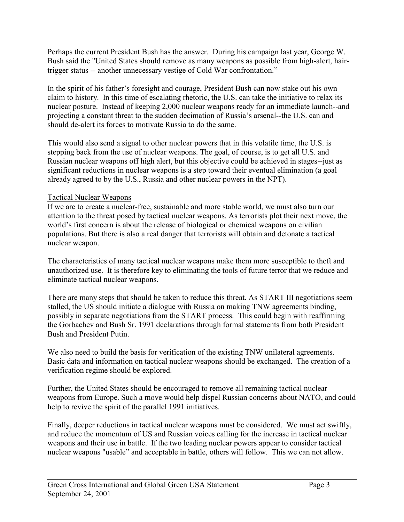Perhaps the current President Bush has the answer. During his campaign last year, George W. Bush said the "United States should remove as many weapons as possible from high-alert, hairtrigger status -- another unnecessary vestige of Cold War confrontation."

In the spirit of his father's foresight and courage, President Bush can now stake out his own claim to history. In this time of escalating rhetoric, the U.S. can take the initiative to relax its nuclear posture. Instead of keeping 2,000 nuclear weapons ready for an immediate launch--and projecting a constant threat to the sudden decimation of Russia's arsenal--the U.S. can and should de-alert its forces to motivate Russia to do the same.

This would also send a signal to other nuclear powers that in this volatile time, the U.S. is stepping back from the use of nuclear weapons. The goal, of course, is to get all U.S. and Russian nuclear weapons off high alert, but this objective could be achieved in stages--just as significant reductions in nuclear weapons is a step toward their eventual elimination (a goal already agreed to by the U.S., Russia and other nuclear powers in the NPT).

### Tactical Nuclear Weapons

If we are to create a nuclear-free, sustainable and more stable world, we must also turn our attention to the threat posed by tactical nuclear weapons. As terrorists plot their next move, the world's first concern is about the release of biological or chemical weapons on civilian populations. But there is also a real danger that terrorists will obtain and detonate a tactical nuclear weapon.

The characteristics of many tactical nuclear weapons make them more susceptible to theft and unauthorized use. It is therefore key to eliminating the tools of future terror that we reduce and eliminate tactical nuclear weapons.

There are many steps that should be taken to reduce this threat. As START III negotiations seem stalled, the US should initiate a dialogue with Russia on making TNW agreements binding, possibly in separate negotiations from the START process. This could begin with reaffirming the Gorbachev and Bush Sr. 1991 declarations through formal statements from both President Bush and President Putin.

We also need to build the basis for verification of the existing TNW unilateral agreements. Basic data and information on tactical nuclear weapons should be exchanged. The creation of a verification regime should be explored.

Further, the United States should be encouraged to remove all remaining tactical nuclear weapons from Europe. Such a move would help dispel Russian concerns about NATO, and could help to revive the spirit of the parallel 1991 initiatives.

Finally, deeper reductions in tactical nuclear weapons must be considered. We must act swiftly, and reduce the momentum of US and Russian voices calling for the increase in tactical nuclear weapons and their use in battle. If the two leading nuclear powers appear to consider tactical nuclear weapons "usable" and acceptable in battle, others will follow. This we can not allow.